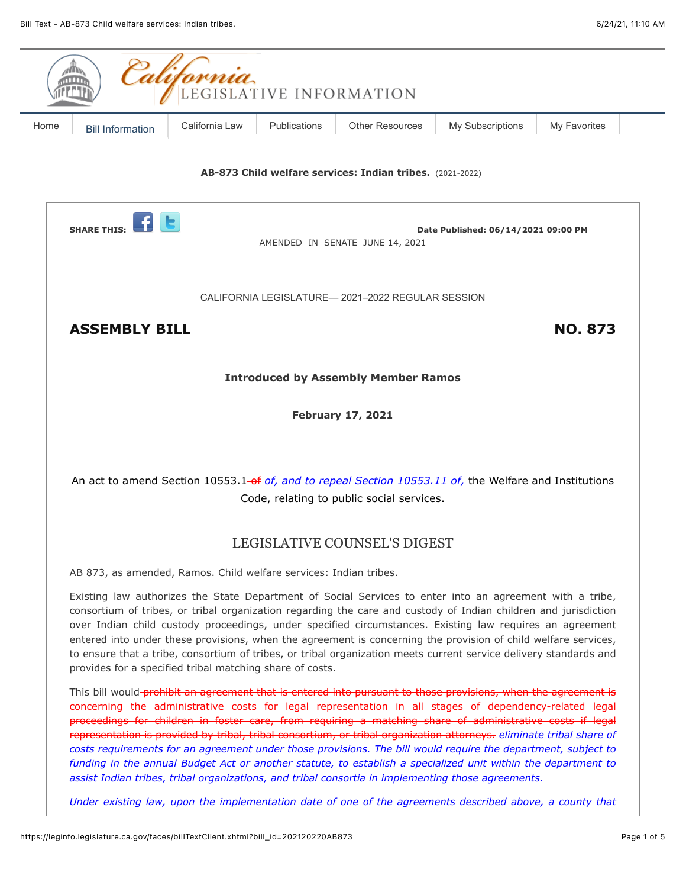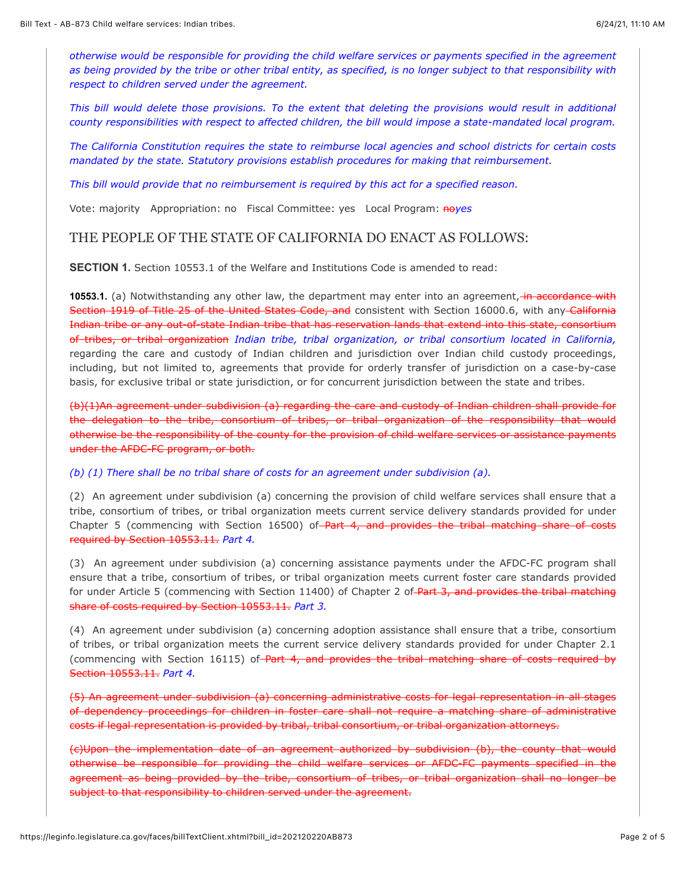*otherwise would be responsible for providing the child welfare services or payments specified in the agreement as being provided by the tribe or other tribal entity, as specified, is no longer subject to that responsibility with respect to children served under the agreement.*

*This bill would delete those provisions. To the extent that deleting the provisions would result in additional county responsibilities with respect to affected children, the bill would impose a state-mandated local program.*

*The California Constitution requires the state to reimburse local agencies and school districts for certain costs mandated by the state. Statutory provisions establish procedures for making that reimbursement.*

*This bill would provide that no reimbursement is required by this act for a specified reason.*

Vote: majority Appropriation: no Fiscal Committee: yes Local Program: noyes

# THE PEOPLE OF THE STATE OF CALIFORNIA DO ENACT AS FOLLOWS:

**SECTION 1.** Section 10553.1 of the Welfare and Institutions Code is amended to read:

**10553.1.** (a) Notwithstanding any other law, the department may enter into an agreement, *in accordance with* Section 1919 of Title 25 of the United States Code, and consistent with Section 16000.6, with any California Indian tribe or any out-of-state Indian tribe that has reservation lands that extend into this state, consortium of tribes, or tribal organization *Indian tribe, tribal organization, or tribal consortium located in California,* regarding the care and custody of Indian children and jurisdiction over Indian child custody proceedings, including, but not limited to, agreements that provide for orderly transfer of jurisdiction on a case-by-case basis, for exclusive tribal or state jurisdiction, or for concurrent jurisdiction between the state and tribes.

(b)(1)An agreement under subdivision (a) regarding the care and custody of Indian children shall provide for the delegation to the tribe, consortium of tribes, or tribal organization of the responsibility that would otherwise be the responsibility of the county for the provision of child welfare services or assistance payments under the AFDC-FC program, or both.

*(b) (1) There shall be no tribal share of costs for an agreement under subdivision (a).*

(2) An agreement under subdivision (a) concerning the provision of child welfare services shall ensure that a tribe, consortium of tribes, or tribal organization meets current service delivery standards provided for under Chapter 5 (commencing with Section 16500) of Part 4, and provides the tribal matching share of costs required by Section 10553.11. *Part 4.*

(3) An agreement under subdivision (a) concerning assistance payments under the AFDC-FC program shall ensure that a tribe, consortium of tribes, or tribal organization meets current foster care standards provided for under Article 5 (commencing with Section 11400) of Chapter 2 of Part 3, and provides the tribal matching share of costs required by Section 10553.11. *Part 3.*

(4) An agreement under subdivision (a) concerning adoption assistance shall ensure that a tribe, consortium of tribes, or tribal organization meets the current service delivery standards provided for under Chapter 2.1 (commencing with Section 16115) of Part 4, and provides the tribal matching share of costs required by Section 10553.11. *Part 4.*

(5) An agreement under subdivision (a) concerning administrative costs for legal representation in all stages of dependency proceedings for children in foster care shall not require a matching share of administrative costs if legal representation is provided by tribal, tribal consortium, or tribal organization attorneys.

(c)Upon the implementation date of an agreement authorized by subdivision (b), the county that would otherwise be responsible for providing the child welfare services or AFDC-FC payments specified in the agreement as being provided by the tribe, consortium of tribes, or tribal organization shall no longer be subject to that responsibility to children served under the agreement.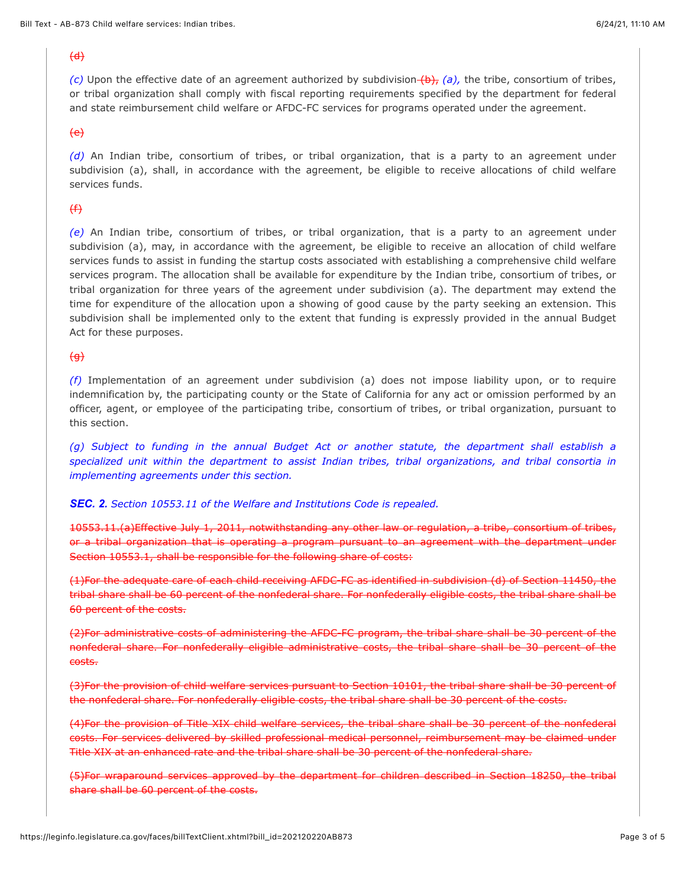### $\overline{d}$

*(c)* Upon the effective date of an agreement authorized by subdivision  $(b)$ , *(a)*, the tribe, consortium of tribes, or tribal organization shall comply with fiscal reporting requirements specified by the department for federal and state reimbursement child welfare or AFDC-FC services for programs operated under the agreement.

### $\left\{e\right\}$

*(d)* An Indian tribe, consortium of tribes, or tribal organization, that is a party to an agreement under subdivision (a), shall, in accordance with the agreement, be eligible to receive allocations of child welfare services funds.

# $(f)$

*(e)* An Indian tribe, consortium of tribes, or tribal organization, that is a party to an agreement under subdivision (a), may, in accordance with the agreement, be eligible to receive an allocation of child welfare services funds to assist in funding the startup costs associated with establishing a comprehensive child welfare services program. The allocation shall be available for expenditure by the Indian tribe, consortium of tribes, or tribal organization for three years of the agreement under subdivision (a). The department may extend the time for expenditure of the allocation upon a showing of good cause by the party seeking an extension. This subdivision shall be implemented only to the extent that funding is expressly provided in the annual Budget Act for these purposes.

## $\Theta$

*(f)* Implementation of an agreement under subdivision (a) does not impose liability upon, or to require indemnification by, the participating county or the State of California for any act or omission performed by an officer, agent, or employee of the participating tribe, consortium of tribes, or tribal organization, pursuant to this section.

*(g) Subject to funding in the annual Budget Act or another statute, the department shall establish a specialized unit within the department to assist Indian tribes, tribal organizations, and tribal consortia in implementing agreements under this section.*

### *SEC. 2. Section 10553.11 of the Welfare and Institutions Code is repealed.*

10553.11.(a)Effective July 1, 2011, notwithstanding any other law or regulation, a tribe, consortium of tribes, or a tribal organization that is operating a program pursuant to an agreement with the department under Section 10553.1, shall be responsible for the following share of costs:

(1)For the adequate care of each child receiving AFDC-FC as identified in subdivision (d) of Section 11450, the tribal share shall be 60 percent of the nonfederal share. For nonfederally eligible costs, the tribal share shall be 60 percent of the costs.

(2)For administrative costs of administering the AFDC-FC program, the tribal share shall be 30 percent of the nonfederal share. For nonfederally eligible administrative costs, the tribal share shall be 30 percent of the costs.

(3)For the provision of child welfare services pursuant to Section 10101, the tribal share shall be 30 percent of the nonfederal share. For nonfederally eligible costs, the tribal share shall be 30 percent of the costs.

(4)For the provision of Title XIX child welfare services, the tribal share shall be 30 percent of the nonfederal costs. For services delivered by skilled professional medical personnel, reimbursement may be claimed under Title XIX at an enhanced rate and the tribal share shall be 30 percent of the nonfederal share.

(5)For wraparound services approved by the department for children described in Section 18250, the tribal share shall be 60 percent of the costs.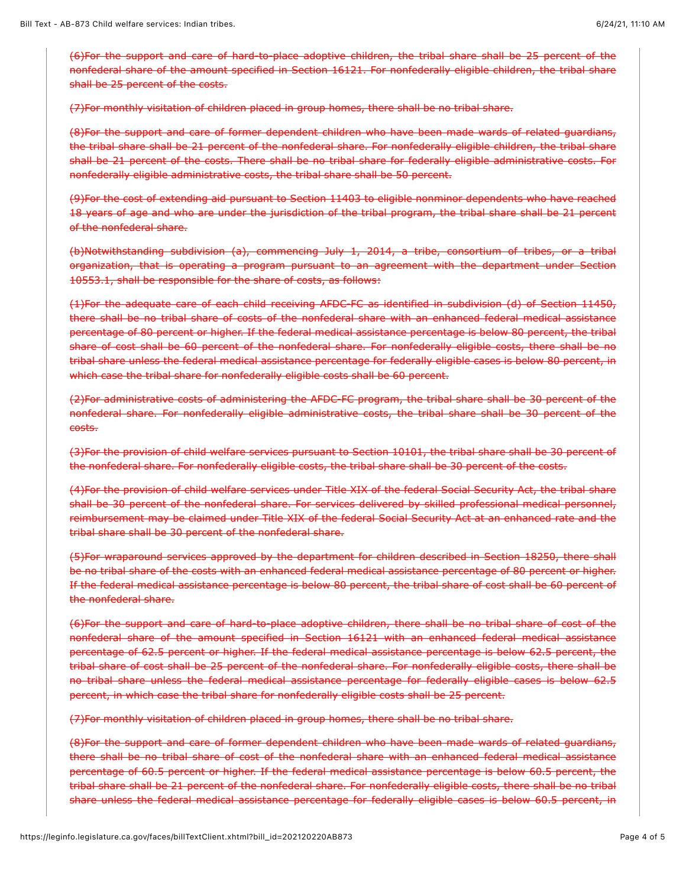(6)For the support and care of hard-to-place adoptive children, the tribal share shall be 25 percent of the nonfederal share of the amount specified in Section 16121. For nonfederally eligible children, the tribal share shall be 25 percent of the costs.

(7)For monthly visitation of children placed in group homes, there shall be no tribal share.

(8)For the support and care of former dependent children who have been made wards of related guardians, the tribal share shall be 21 percent of the nonfederal share. For nonfederally eligible children, the tribal share shall be 21 percent of the costs. There shall be no tribal share for federally eligible administrative costs. For nonfederally eligible administrative costs, the tribal share shall be 50 percent.

(9)For the cost of extending aid pursuant to Section 11403 to eligible nonminor dependents who have reached 18 years of age and who are under the jurisdiction of the tribal program, the tribal share shall be 21 percent of the nonfederal share.

(b)Notwithstanding subdivision (a), commencing July 1, 2014, a tribe, consortium of tribes, or a tribal organization, that is operating a program pursuant to an agreement with the department under Section 10553.1, shall be responsible for the share of costs, as follows:

(1)For the adequate care of each child receiving AFDC-FC as identified in subdivision (d) of Section 11450, there shall be no tribal share of costs of the nonfederal share with an enhanced federal medical assistance percentage of 80 percent or higher. If the federal medical assistance percentage is below 80 percent, the tribal share of cost shall be 60 percent of the nonfederal share. For nonfederally eligible costs, there shall be no tribal share unless the federal medical assistance percentage for federally eligible cases is below 80 percent, in which case the tribal share for nonfederally eligible costs shall be 60 percent.

(2)For administrative costs of administering the AFDC-FC program, the tribal share shall be 30 percent of the nonfederal share. For nonfederally eligible administrative costs, the tribal share shall be 30 percent of the costs.

(3)For the provision of child welfare services pursuant to Section 10101, the tribal share shall be 30 percent of the nonfederal share. For nonfederally eligible costs, the tribal share shall be 30 percent of the costs.

(4)For the provision of child welfare services under Title XIX of the federal Social Security Act, the tribal share shall be 30 percent of the nonfederal share. For services delivered by skilled professional medical personnel, reimbursement may be claimed under Title XIX of the federal Social Security Act at an enhanced rate and the tribal share shall be 30 percent of the nonfederal share.

(5)For wraparound services approved by the department for children described in Section 18250, there shall be no tribal share of the costs with an enhanced federal medical assistance percentage of 80 percent or higher. If the federal medical assistance percentage is below 80 percent, the tribal share of cost shall be 60 percent of the nonfederal share.

(6)For the support and care of hard-to-place adoptive children, there shall be no tribal share of cost of the nonfederal share of the amount specified in Section 16121 with an enhanced federal medical assistance percentage of 62.5 percent or higher. If the federal medical assistance percentage is below 62.5 percent, the tribal share of cost shall be 25 percent of the nonfederal share. For nonfederally eligible costs, there shall be no tribal share unless the federal medical assistance percentage for federally eligible cases is below 62.5 percent, in which case the tribal share for nonfederally eligible costs shall be 25 percent.

(7)For monthly visitation of children placed in group homes, there shall be no tribal share.

(8)For the support and care of former dependent children who have been made wards of related guardians, there shall be no tribal share of cost of the nonfederal share with an enhanced federal medical assistance percentage of 60.5 percent or higher. If the federal medical assistance percentage is below 60.5 percent, the tribal share shall be 21 percent of the nonfederal share. For nonfederally eligible costs, there shall be no tribal share unless the federal medical assistance percentage for federally eligible cases is below 60.5 percent, in